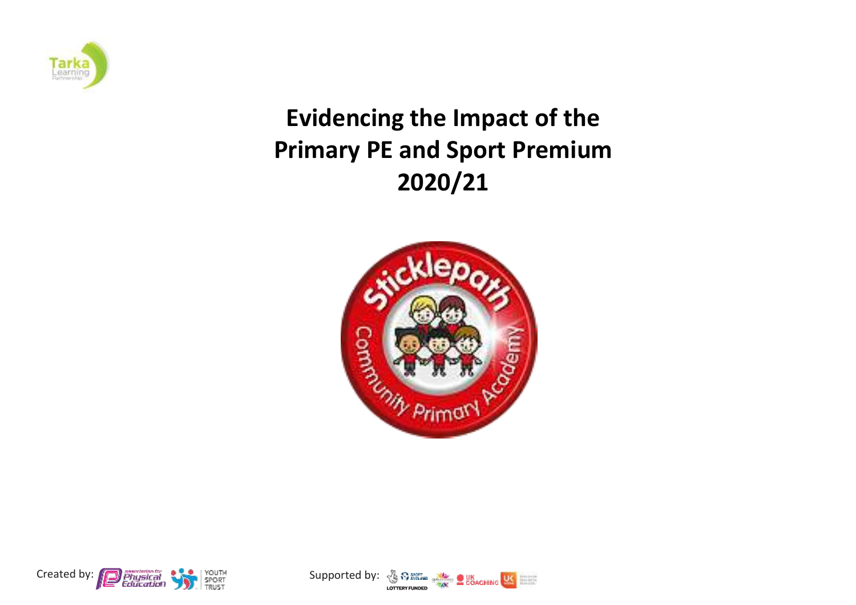

## **Evidencing the Impact of the Primary PE and Sport Premium 2020/21**





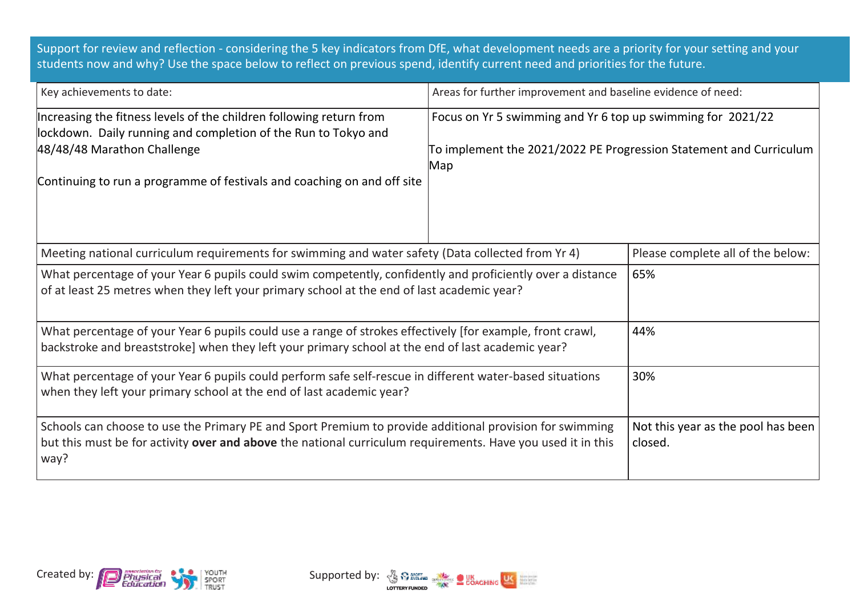Support for review and reflection - considering the 5 key indicators from DfE, what development needs are a priority for your setting and your students now and why? Use the space below to reflect on previous spend, identify current need and priorities for the future.

| Key achievements to date:                                                                                                                                                                                                                       | Areas for further improvement and baseline evidence of need:                                                                             |                                   |  |
|-------------------------------------------------------------------------------------------------------------------------------------------------------------------------------------------------------------------------------------------------|------------------------------------------------------------------------------------------------------------------------------------------|-----------------------------------|--|
| Increasing the fitness levels of the children following return from<br>lockdown. Daily running and completion of the Run to Tokyo and<br>48/48/48 Marathon Challenge<br>Continuing to run a programme of festivals and coaching on and off site | Focus on Yr 5 swimming and Yr 6 top up swimming for 2021/22<br>To implement the 2021/2022 PE Progression Statement and Curriculum<br>Map |                                   |  |
| Meeting national curriculum requirements for swimming and water safety (Data collected from Yr 4)                                                                                                                                               |                                                                                                                                          | Please complete all of the below: |  |
| What percentage of your Year 6 pupils could swim competently, confidently and proficiently over a distance<br>of at least 25 metres when they left your primary school at the end of last academic year?                                        | 65%                                                                                                                                      |                                   |  |
| What percentage of your Year 6 pupils could use a range of strokes effectively [for example, front crawl,<br>backstroke and breaststroke] when they left your primary school at the end of last academic year?                                  | 44%                                                                                                                                      |                                   |  |
| What percentage of your Year 6 pupils could perform safe self-rescue in different water-based situations<br>when they left your primary school at the end of last academic year?                                                                | 30%                                                                                                                                      |                                   |  |
| Schools can choose to use the Primary PE and Sport Premium to provide additional provision for swimming<br>but this must be for activity over and above the national curriculum requirements. Have you used it in this<br>way?                  | Not this year as the pool has been<br>closed.                                                                                            |                                   |  |



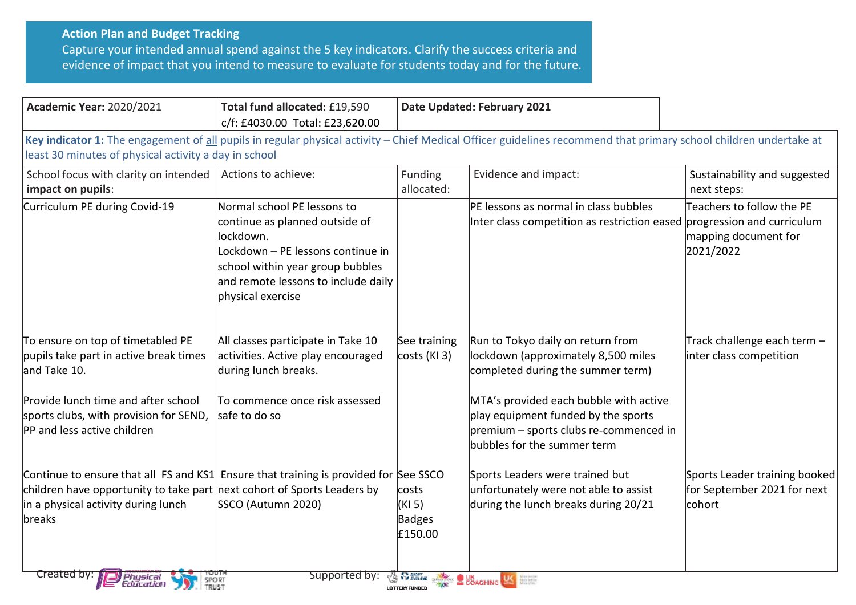## **Action Plan and Budget Tracking**

Capture your intended annual spend against the 5 key indicators. Clarify the success criteria and evidence of impact that you intend to measure to evaluate for students today and for the future.

| <b>Academic Year: 2020/2021</b>                                                                                                                                                                                    | Total fund allocated: £19,590<br>c/f: £4030.00 Total: £23,620.00                                                                                                                                                | Date Updated: February 2021          |                                                                                                                                                                                                                                                                         |                                                                        |
|--------------------------------------------------------------------------------------------------------------------------------------------------------------------------------------------------------------------|-----------------------------------------------------------------------------------------------------------------------------------------------------------------------------------------------------------------|--------------------------------------|-------------------------------------------------------------------------------------------------------------------------------------------------------------------------------------------------------------------------------------------------------------------------|------------------------------------------------------------------------|
| least 30 minutes of physical activity a day in school                                                                                                                                                              |                                                                                                                                                                                                                 |                                      | Key indicator 1: The engagement of all pupils in regular physical activity - Chief Medical Officer guidelines recommend that primary school children undertake at                                                                                                       |                                                                        |
| School focus with clarity on intended<br>impact on pupils:                                                                                                                                                         | Actions to achieve:                                                                                                                                                                                             | Funding<br>allocated:                | Evidence and impact:                                                                                                                                                                                                                                                    | Sustainability and suggested<br>next steps:                            |
| Curriculum PE during Covid-19                                                                                                                                                                                      | Normal school PE lessons to<br>continue as planned outside of<br>lockdown.<br>Lockdown - PE lessons continue in<br>school within year group bubbles<br>and remote lessons to include daily<br>physical exercise |                                      | <b>PE lessons as normal in class bubbles</b><br>Inter class competition as restriction eased progression and curriculum                                                                                                                                                 | Teachers to follow the PE<br>mapping document for<br>2021/2022         |
| To ensure on top of timetabled PE<br>pupils take part in active break times<br>and Take 10.<br>Provide lunch time and after school<br>sports clubs, with provision for SEND,<br><b>PP</b> and less active children | All classes participate in Take 10<br>activities. Active play encouraged<br>during lunch breaks.<br>ITo commence once risk assessed<br>safe to do so                                                            | See training<br>costs (KI3)          | Run to Tokyo daily on return from<br>lockdown (approximately 8,500 miles<br>completed during the summer term)<br>MTA's provided each bubble with active<br>play equipment funded by the sports<br>premium - sports clubs re-commenced in<br>bubbles for the summer term | Track challenge each term $-$<br>inter class competition               |
| Continue to ensure that all FS and KS1 Ensure that training is provided for See SSCO<br>children have opportunity to take part next cohort of Sports Leaders by<br>in a physical activity during lunch<br>breaks   | SSCO (Autumn 2020)                                                                                                                                                                                              | costs<br>(KI 5)<br>Badges<br>£150.00 | Sports Leaders were trained but<br>unfortunately were not able to assist<br>during the lunch breaks during 20/21                                                                                                                                                        | Sports Leader training booked<br>for September 2021 for next<br>cohort |
| <u>created by:</u><br>Physical<br>Education<br>SPORT<br>TRUST                                                                                                                                                      | supported by:                                                                                                                                                                                                   | <b>LOTTERY FUNDED</b>                | <b>SARRIS SHOWS COACHING USE</b>                                                                                                                                                                                                                                        |                                                                        |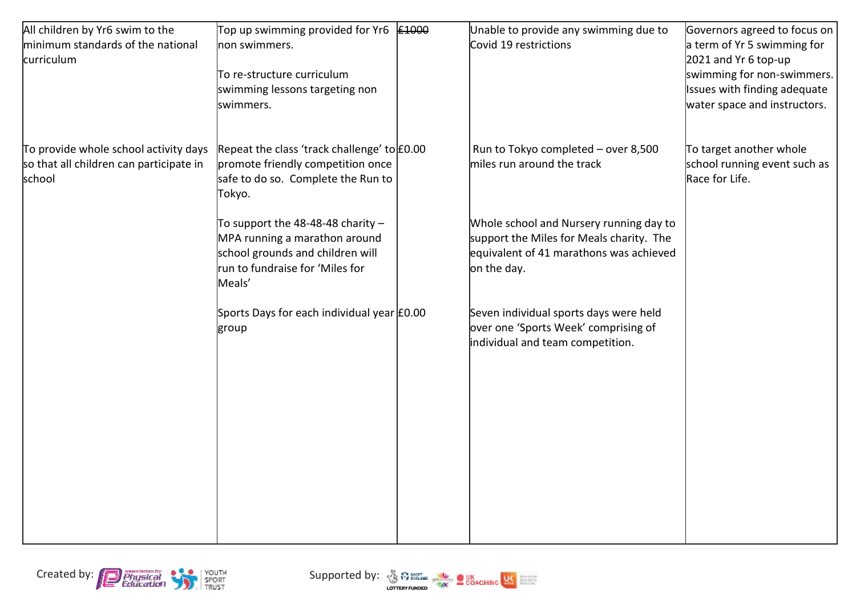| All children by Yr6 swim to the         | Top up swimming provided for Yr6            | £1000 | Unable to provide any swimming due to    | Governors agreed to focus on |
|-----------------------------------------|---------------------------------------------|-------|------------------------------------------|------------------------------|
| minimum standards of the national       | non swimmers.                               |       | Covid 19 restrictions                    | a term of Yr 5 swimming for  |
| curriculum                              |                                             |       |                                          | 2021 and Yr 6 top-up         |
|                                         | To re-structure curriculum                  |       |                                          | swimming for non-swimmers.   |
|                                         | swimming lessons targeting non              |       |                                          | Issues with finding adequate |
|                                         | swimmers.                                   |       |                                          | water space and instructors. |
|                                         |                                             |       |                                          |                              |
| To provide whole school activity days   | Repeat the class 'track challenge' to £0.00 |       | Run to Tokyo completed - over 8,500      | To target another whole      |
| so that all children can participate in | promote friendly competition once           |       | miles run around the track               | school running event such as |
| school                                  | safe to do so. Complete the Run to          |       |                                          | Race for Life.               |
|                                         | Tokyo.                                      |       |                                          |                              |
|                                         |                                             |       |                                          |                              |
|                                         | To support the 48-48-48 charity $-$         |       | Whole school and Nursery running day to  |                              |
|                                         | MPA running a marathon around               |       | support the Miles for Meals charity. The |                              |
|                                         | school grounds and children will            |       | equivalent of 41 marathons was achieved  |                              |
|                                         | run to fundraise for 'Miles for             |       | on the day.                              |                              |
|                                         | Meals'                                      |       |                                          |                              |
|                                         | Sports Days for each individual year £0.00  |       | Seven individual sports days were held   |                              |
|                                         | group                                       |       | over one 'Sports Week' comprising of     |                              |
|                                         |                                             |       | individual and team competition.         |                              |
|                                         |                                             |       |                                          |                              |
|                                         |                                             |       |                                          |                              |
|                                         |                                             |       |                                          |                              |
|                                         |                                             |       |                                          |                              |
|                                         |                                             |       |                                          |                              |
|                                         |                                             |       |                                          |                              |
|                                         |                                             |       |                                          |                              |
|                                         |                                             |       |                                          |                              |
|                                         |                                             |       |                                          |                              |
|                                         |                                             |       |                                          |                              |
|                                         |                                             |       |                                          |                              |



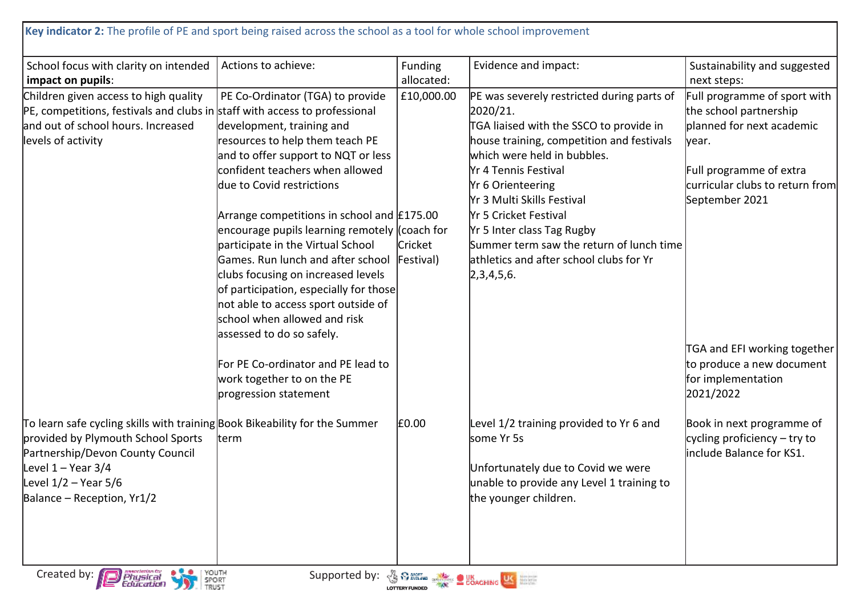| School focus with clarity on intended                                                                                                                                                                                                | Actions to achieve:                                                                                                                                                                                                                                                                                                                                                                                                                                      | Funding              | Evidence and impact:                                                                                                                                                                                                                                                          | Sustainability and suggested                                                                                                                                                  |
|--------------------------------------------------------------------------------------------------------------------------------------------------------------------------------------------------------------------------------------|----------------------------------------------------------------------------------------------------------------------------------------------------------------------------------------------------------------------------------------------------------------------------------------------------------------------------------------------------------------------------------------------------------------------------------------------------------|----------------------|-------------------------------------------------------------------------------------------------------------------------------------------------------------------------------------------------------------------------------------------------------------------------------|-------------------------------------------------------------------------------------------------------------------------------------------------------------------------------|
| impact on pupils:                                                                                                                                                                                                                    |                                                                                                                                                                                                                                                                                                                                                                                                                                                          | allocated:           |                                                                                                                                                                                                                                                                               | next steps:                                                                                                                                                                   |
| Children given access to high quality<br>PE, competitions, festivals and clubs in staff with access to professional<br>and out of school hours. Increased<br>levels of activity                                                      | PE Co-Ordinator (TGA) to provide<br>development, training and<br>resources to help them teach PE<br>and to offer support to NQT or less<br>confident teachers when allowed<br>due to Covid restrictions                                                                                                                                                                                                                                                  | £10,000.00           | PE was severely restricted during parts of<br>2020/21.<br>TGA liaised with the SSCO to provide in<br>house training, competition and festivals<br>which were held in bubbles.<br><b>Yr 4 Tennis Festival</b><br><b>Yr 6 Orienteering</b><br><b>Yr 3 Multi Skills Festival</b> | Full programme of sport with<br>the school partnership<br>planned for next academic<br>lyear.<br>Full programme of extra<br>curricular clubs to return from<br>September 2021 |
|                                                                                                                                                                                                                                      | Arrange competitions in school and $£175.00$<br>encourage pupils learning remotely (coach for<br>participate in the Virtual School<br>Games. Run lunch and after school<br>clubs focusing on increased levels<br>of participation, especially for those<br>not able to access sport outside of<br>school when allowed and risk<br>assessed to do so safely.<br>For PE Co-ordinator and PE lead to<br>work together to on the PE<br>progression statement | Cricket<br>Festival) | <b>Yr 5 Cricket Festival</b><br>Yr 5 Inter class Tag Rugby<br>Summer term saw the return of lunch time<br>athletics and after school clubs for Yr<br>[2,3,4,5,6]                                                                                                              | TGA and EFI working together<br>to produce a new document<br>for implementation<br>2021/2022                                                                                  |
| To learn safe cycling skills with training Book Bikeability for the Summer<br>provided by Plymouth School Sports<br>Partnership/Devon County Council<br>Level $1 -$ Year 3/4<br>Level $1/2$ – Year 5/6<br>Balance - Reception, Yr1/2 | term                                                                                                                                                                                                                                                                                                                                                                                                                                                     | £0.00                | Level 1/2 training provided to Yr 6 and<br>some Yr 5s<br>Unfortunately due to Covid we were<br>unable to provide any Level 1 training to<br>the younger children.                                                                                                             | Book in next programme of<br>cycling proficiency $-$ try to<br>include Balance for KS1.                                                                                       |

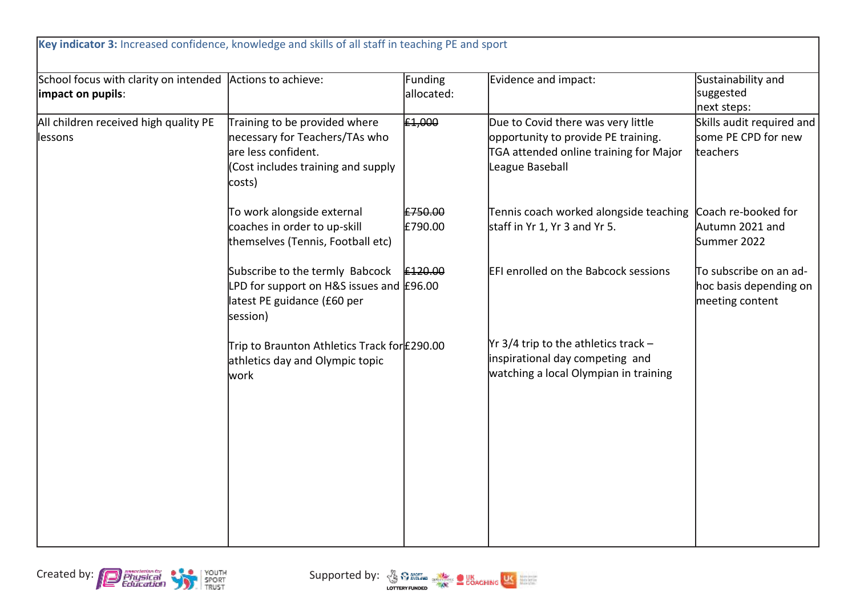| School focus with clarity on intended<br>impact on pupils: | Actions to achieve:                                                                                                                    | Funding<br>allocated: | Evidence and impact:                                                                                                                   | Sustainability and<br>suggested<br>next steps:                      |
|------------------------------------------------------------|----------------------------------------------------------------------------------------------------------------------------------------|-----------------------|----------------------------------------------------------------------------------------------------------------------------------------|---------------------------------------------------------------------|
| All children received high quality PE<br>lessons           | Training to be provided where<br>necessary for Teachers/TAs who<br>are less confident.<br>(Cost includes training and supply<br>costs) | £1,000                | Due to Covid there was very little<br>opportunity to provide PE training.<br>TGA attended online training for Major<br>League Baseball | Skills audit required and<br>some PE CPD for new<br>teachers        |
|                                                            | To work alongside external<br>coaches in order to up-skill<br>themselves (Tennis, Football etc)                                        | £750.00<br>£790.00    | Tennis coach worked alongside teaching<br>staff in Yr 1, Yr 3 and Yr 5.                                                                | Coach re-booked for<br>Autumn 2021 and<br>Summer 2022               |
|                                                            | Subscribe to the termly Babcock<br>LPD for support on H&S issues and $E96.00$<br>latest PE guidance (£60 per<br>session)               | £120.00               | <b>EFI enrolled on the Babcock sessions</b>                                                                                            | To subscribe on an ad-<br>hoc basis depending on<br>meeting content |
|                                                            | Trip to Braunton Athletics Track for £290.00<br>athletics day and Olympic topic<br>lwork                                               |                       | $\gamma$ r 3/4 trip to the athletics track -<br>inspirational day competing and<br>watching a local Olympian in training               |                                                                     |
|                                                            |                                                                                                                                        |                       |                                                                                                                                        |                                                                     |



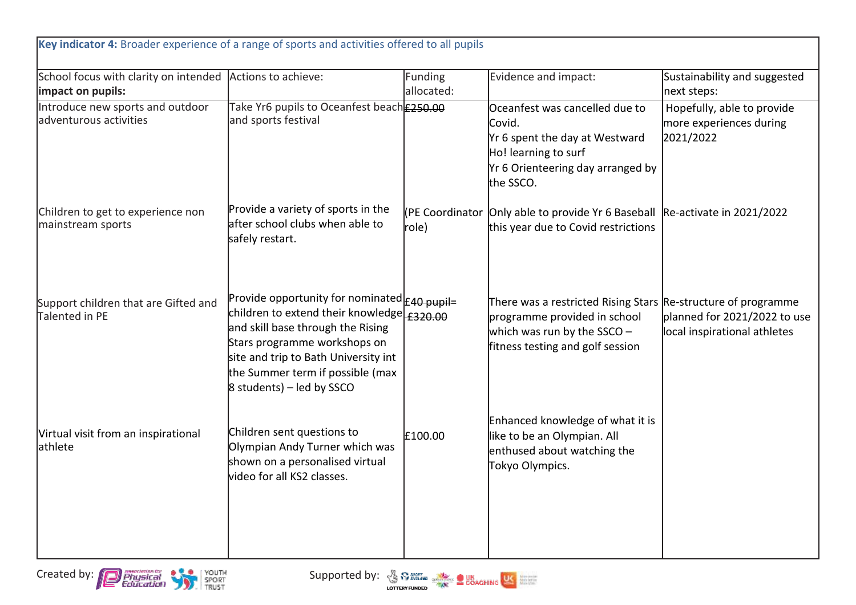| Key indicator 4: Broader experience of a range of sports and activities offered to all pupils |                                                                                                                                                                                                                                                                                     |                       |                                                                                                                                                                  |                                                                    |
|-----------------------------------------------------------------------------------------------|-------------------------------------------------------------------------------------------------------------------------------------------------------------------------------------------------------------------------------------------------------------------------------------|-----------------------|------------------------------------------------------------------------------------------------------------------------------------------------------------------|--------------------------------------------------------------------|
| School focus with clarity on intended Actions to achieve:<br>impact on pupils:                |                                                                                                                                                                                                                                                                                     | Funding<br>allocated: | Evidence and impact:                                                                                                                                             | Sustainability and suggested<br>next steps:                        |
| Introduce new sports and outdoor<br>adventurous activities                                    | Take Yr6 pupils to Oceanfest beach £250.00<br>and sports festival                                                                                                                                                                                                                   |                       | Oceanfest was cancelled due to<br>Covid.<br>Yr 6 spent the day at Westward<br>Ho! learning to surf<br>Yr 6 Orienteering day arranged by<br>the SSCO.             | Hopefully, able to provide<br>more experiences during<br>2021/2022 |
| Children to get to experience non<br>mainstream sports                                        | Provide a variety of sports in the<br>after school clubs when able to<br>safely restart.                                                                                                                                                                                            | role)                 | (PE Coordinator Only able to provide Yr 6 Baseball Re-activate in 2021/2022<br>this year due to Covid restrictions                                               |                                                                    |
| Support children that are Gifted and<br>Talented in PE                                        | Provide opportunity for nominated <sub>E40 pupil=</sub><br>children to extend their knowledge £320.00<br>and skill base through the Rising<br>Stars programme workshops on<br>site and trip to Bath University int<br>the Summer term if possible (max<br>8 students) - led by SSCO |                       | There was a restricted Rising Stars Re-structure of programme<br>programme provided in school<br>which was run by the SSCO -<br>fitness testing and golf session | planned for 2021/2022 to use<br>local inspirational athletes       |
| Virtual visit from an inspirational<br>lathlete                                               | Children sent questions to<br>Olympian Andy Turner which was<br>shown on a personalised virtual<br>video for all KS2 classes.                                                                                                                                                       | £100.00               | Enhanced knowledge of what it is<br>like to be an Olympian. All<br>enthused about watching the<br>Tokyo Olympics.                                                |                                                                    |